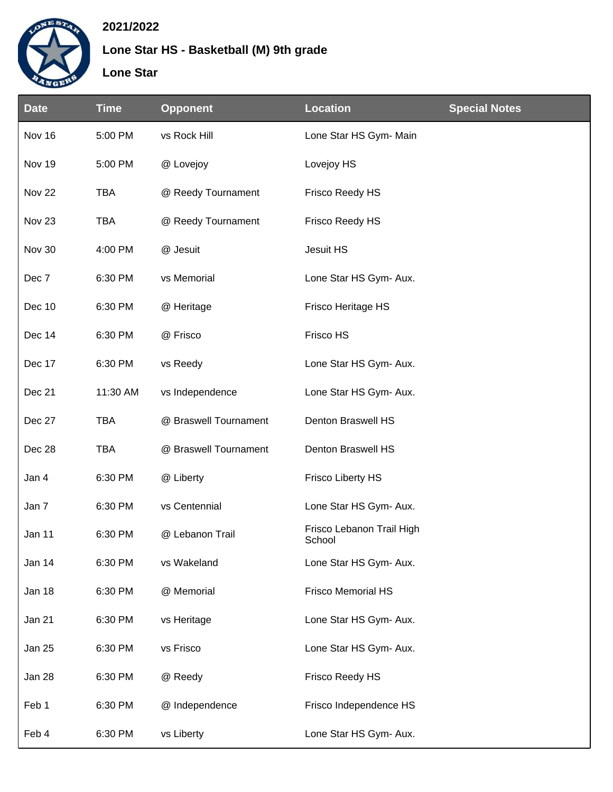

## **2021/2022**

## **Lone Star HS - Basketball (M) 9th grade**

## **Lone Star**

| <b>Date</b> | <b>Time</b> | <b>Opponent</b>       | <b>Location</b>                     | <b>Special Notes</b> |
|-------------|-------------|-----------------------|-------------------------------------|----------------------|
| Nov 16      | 5:00 PM     | vs Rock Hill          | Lone Star HS Gym- Main              |                      |
| Nov 19      | 5:00 PM     | @ Lovejoy             | Lovejoy HS                          |                      |
| Nov 22      | <b>TBA</b>  | @ Reedy Tournament    | Frisco Reedy HS                     |                      |
| Nov 23      | <b>TBA</b>  | @ Reedy Tournament    | Frisco Reedy HS                     |                      |
| Nov 30      | 4:00 PM     | @ Jesuit              | Jesuit HS                           |                      |
| Dec 7       | 6:30 PM     | vs Memorial           | Lone Star HS Gym- Aux.              |                      |
| Dec 10      | 6:30 PM     | @ Heritage            | Frisco Heritage HS                  |                      |
| Dec 14      | 6:30 PM     | @ Frisco              | Frisco HS                           |                      |
| Dec 17      | 6:30 PM     | vs Reedy              | Lone Star HS Gym- Aux.              |                      |
| Dec 21      | 11:30 AM    | vs Independence       | Lone Star HS Gym- Aux.              |                      |
| Dec 27      | <b>TBA</b>  | @ Braswell Tournament | Denton Braswell HS                  |                      |
| Dec 28      | <b>TBA</b>  | @ Braswell Tournament | Denton Braswell HS                  |                      |
| Jan 4       | 6:30 PM     | @ Liberty             | <b>Frisco Liberty HS</b>            |                      |
| Jan 7       | 6:30 PM     | vs Centennial         | Lone Star HS Gym- Aux.              |                      |
| Jan 11      | 6:30 PM     | @ Lebanon Trail       | Frisco Lebanon Trail High<br>School |                      |
| Jan 14      | 6:30 PM     | vs Wakeland           | Lone Star HS Gym- Aux.              |                      |
| Jan 18      | 6:30 PM     | @ Memorial            | <b>Frisco Memorial HS</b>           |                      |
| Jan 21      | 6:30 PM     | vs Heritage           | Lone Star HS Gym- Aux.              |                      |
| Jan 25      | 6:30 PM     | vs Frisco             | Lone Star HS Gym- Aux.              |                      |
| Jan 28      | 6:30 PM     | @ Reedy               | Frisco Reedy HS                     |                      |
| Feb 1       | 6:30 PM     | @ Independence        | Frisco Independence HS              |                      |
| Feb 4       | 6:30 PM     | vs Liberty            | Lone Star HS Gym- Aux.              |                      |